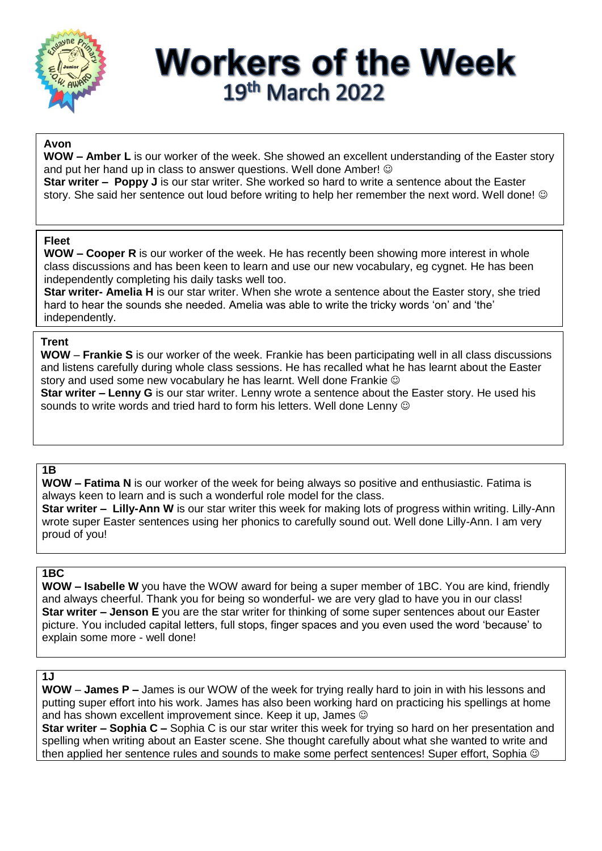

## **Workers of the Week** 19th March 2022

## **Avon**

**WOW – Amber L** is our worker of the week. She showed an excellent understanding of the Easter story and put her hand up in class to answer questions. Well done Amber!  $\odot$ **Star writer – Poppy J** is our star writer. She worked so hard to write a sentence about the Easter

story. She said her sentence out loud before writing to help her remember the next word. Well done! ©

#### **Fleet**

**WOW – Cooper R** is our worker of the week. He has recently been showing more interest in whole class discussions and has been keen to learn and use our new vocabulary, eg cygnet. He has been independently completing his daily tasks well too.

**Star writer- Amelia H** is our star writer. When she wrote a sentence about the Easter story, she tried hard to hear the sounds she needed. Amelia was able to write the tricky words 'on' and 'the' independently.

#### **Trent**

**WOW** – **Frankie S** is our worker of the week. Frankie has been participating well in all class discussions and listens carefully during whole class sessions. He has recalled what he has learnt about the Easter story and used some new vocabulary he has learnt. Well done Frankie  $\odot$ 

**Star writer – Lenny G** is our star writer. Lenny wrote a sentence about the Easter story. He used his sounds to write words and tried hard to form his letters. Well done Lenny  $\odot$ 

#### **1B**

**WOW – Fatima N** is our worker of the week for being always so positive and enthusiastic. Fatima is always keen to learn and is such a wonderful role model for the class.

**Star writer – Lilly-Ann W** is our star writer this week for making lots of progress within writing. Lilly-Ann wrote super Easter sentences using her phonics to carefully sound out. Well done Lilly-Ann. I am very proud of you!

#### **1BC**

**WOW – Isabelle W** you have the WOW award for being a super member of 1BC. You are kind, friendly and always cheerful. Thank you for being so wonderful- we are very glad to have you in our class! **Star writer – Jenson E** you are the star writer for thinking of some super sentences about our Easter picture. You included capital letters, full stops, finger spaces and you even used the word 'because' to explain some more - well done!

### **1J**

**WOW** – **James P –** James is our WOW of the week for trying really hard to join in with his lessons and putting super effort into his work. James has also been working hard on practicing his spellings at home and has shown excellent improvement since. Keep it up, James  $\odot$ 

**Star writer – Sophia C –** Sophia C is our star writer this week for trying so hard on her presentation and spelling when writing about an Easter scene. She thought carefully about what she wanted to write and then applied her sentence rules and sounds to make some perfect sentences! Super effort, Sophia